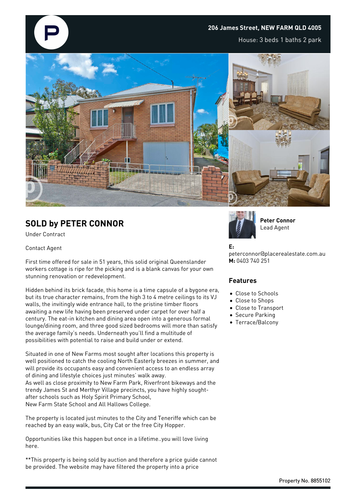### **206 James Street, NEW FARM QLD 4005**

House: 3 beds 1 baths 2 park



# **SOLD by PETER CONNOR**

Under Contract

#### Contact Agent

First time offered for sale in 51 years, this solid original Queenslander workers cottage is ripe for the picking and is a blank canvas for your own stunning renovation or redevelopment.

Hidden behind its brick facade, this home is a time capsule of a bygone era, but its true character remains, from the high 3 to 4 metre ceilings to its VJ walls, the invitingly wide entrance hall, to the pristine timber floors awaiting a new life having been preserved under carpet for over half a century. The eat-in kitchen and dining area open into a generous formal lounge/dining room, and three good sized bedrooms will more than satisfy the average family's needs. Underneath you'll find a multitude of possibilities with potential to raise and build under or extend.

Situated in one of New Farms most sought after locations this property is well positioned to catch the cooling North Easterly breezes in summer, and will provide its occupants easy and convenient access to an endless array of dining and lifestyle choices just minutes' walk away. As well as close proximity to New Farm Park, Riverfront bikeways and the trendy James St and Merthyr Village precincts, you have highly soughtafter schools such as Holy Spirit Primary School, New Farm State School and All Hallows College.

The property is located just minutes to the City and Teneriffe which can be reached by an easy walk, bus, City Cat or the free City Hopper.

Opportunities like this happen but once in a lifetime..you will love living here.

\*\*This property is being sold by auction and therefore a price guide cannot be provided. The website may have filtered the property into a price



**Peter Connor** Lead Agent

#### **E:**

peterconnor@placerealestate.com.au **M:** 0403 740 251

### **Features**

- Close to Schools
- Close to Shops
- Close to Transport
- Secure Parking
- Terrace/Balcony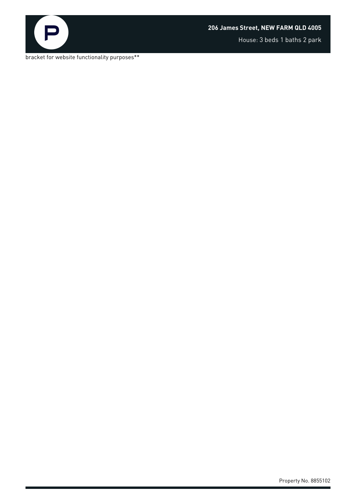

House: 3 beds 1 baths 2 park

bracket for website functionality purposes\*\*